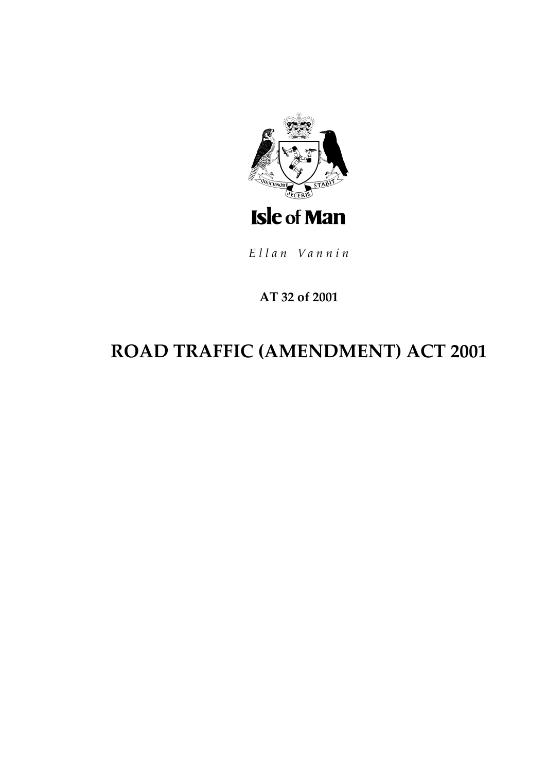

Ellan Vannin

## **AT 32 of 2001**

# **ROAD TRAFFIC (AMENDMENT) ACT 2001**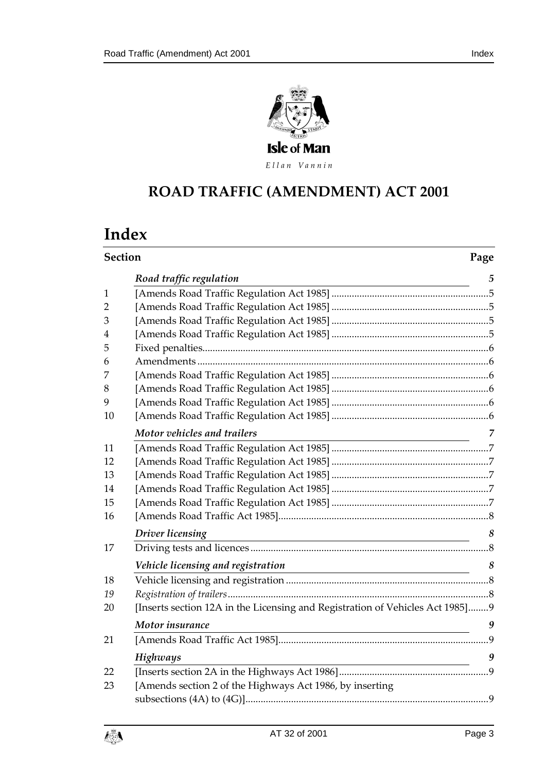

Ellan Vannin

## **ROAD TRAFFIC (AMENDM ENT) ACT 2001**

## **Index**

|                | <b>Section</b>                                                                                                                                       |                       |
|----------------|------------------------------------------------------------------------------------------------------------------------------------------------------|-----------------------|
|                | Road traffic regulation                                                                                                                              | 5                     |
| $\mathbf{1}$   |                                                                                                                                                      |                       |
| $\overline{2}$ |                                                                                                                                                      |                       |
| 3              |                                                                                                                                                      |                       |
| 4              |                                                                                                                                                      |                       |
| 5              |                                                                                                                                                      |                       |
| 6              |                                                                                                                                                      |                       |
| 7              |                                                                                                                                                      |                       |
| 8              |                                                                                                                                                      |                       |
| 9              |                                                                                                                                                      |                       |
| 10             |                                                                                                                                                      |                       |
|                | Motor vehicles and trailers<br><u> 1989 - Johann Barbara, martin amerikan basar dan berasal dan berasal dalam basar dalam basar dalam basar dala</u> | 7                     |
| 11             |                                                                                                                                                      |                       |
| 12             |                                                                                                                                                      |                       |
| 13             |                                                                                                                                                      |                       |
| 14             |                                                                                                                                                      |                       |
| 15             |                                                                                                                                                      |                       |
| 16             |                                                                                                                                                      |                       |
|                | Driver licensing<br><u> 1980 - Johann Barn, mars ann an t-Amhain Aonaich an t-Aonaich an t-Aonaich ann an t-Aonaich ann an t-Aonaich</u>             | 8                     |
| 17             |                                                                                                                                                      |                       |
|                | Vehicle licensing and registration                                                                                                                   | $\boldsymbol{\delta}$ |
| 18             |                                                                                                                                                      |                       |
| 19             |                                                                                                                                                      |                       |
| 20             | [Inserts section 12A in the Licensing and Registration of Vehicles Act 1985]9                                                                        |                       |
|                | Motor insurance<br><u> 1989 - Johann John Stone, markin fizik eta idazlea (h. 1989).</u>                                                             | 9                     |
| 21             |                                                                                                                                                      |                       |
|                | Highways                                                                                                                                             | 9                     |
| 22             |                                                                                                                                                      |                       |
| 23             | [Amends section 2 of the Highways Act 1986, by inserting                                                                                             |                       |
|                |                                                                                                                                                      |                       |

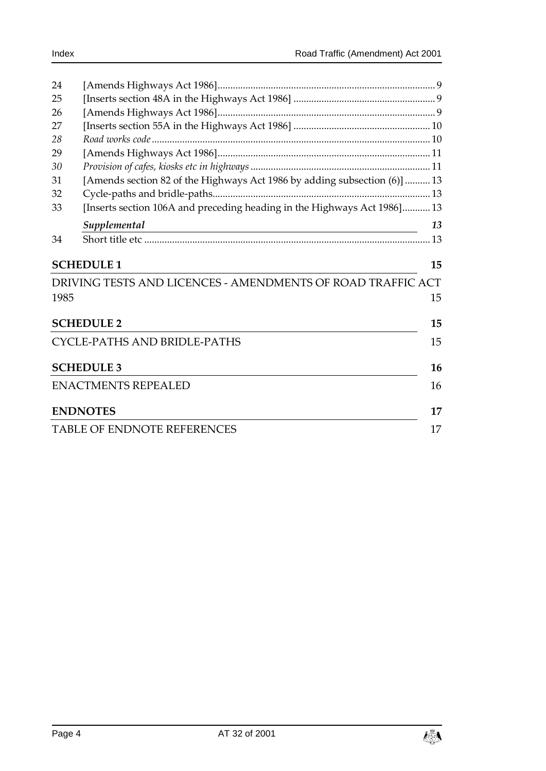| 24                                 |                                                                           |    |  |
|------------------------------------|---------------------------------------------------------------------------|----|--|
| 25                                 |                                                                           |    |  |
| 26                                 |                                                                           |    |  |
| 27                                 |                                                                           |    |  |
| 28                                 |                                                                           |    |  |
| 29                                 |                                                                           |    |  |
| 30                                 |                                                                           |    |  |
| 31                                 | [Amends section 82 of the Highways Act 1986 by adding subsection (6)]  13 |    |  |
| 32                                 |                                                                           |    |  |
| 33                                 | [Inserts section 106A and preceding heading in the Highways Act 1986]13   |    |  |
|                                    | Supplemental                                                              | 13 |  |
| 34                                 |                                                                           |    |  |
|                                    | <b>SCHEDULE 1</b>                                                         | 15 |  |
|                                    | DRIVING TESTS AND LICENCES - AMENDMENTS OF ROAD TRAFFIC ACT               |    |  |
| 1985                               |                                                                           | 15 |  |
|                                    |                                                                           |    |  |
|                                    | <b>SCHEDULE 2</b>                                                         |    |  |
|                                    | CYCLE-PATHS AND BRIDLE-PATHS                                              |    |  |
|                                    | <b>SCHEDULE 3</b>                                                         | 16 |  |
|                                    | <b>ENACTMENTS REPEALED</b>                                                |    |  |
|                                    | <b>ENDNOTES</b>                                                           | 17 |  |
| <b>TABLE OF ENDNOTE REFERENCES</b> |                                                                           |    |  |
|                                    |                                                                           |    |  |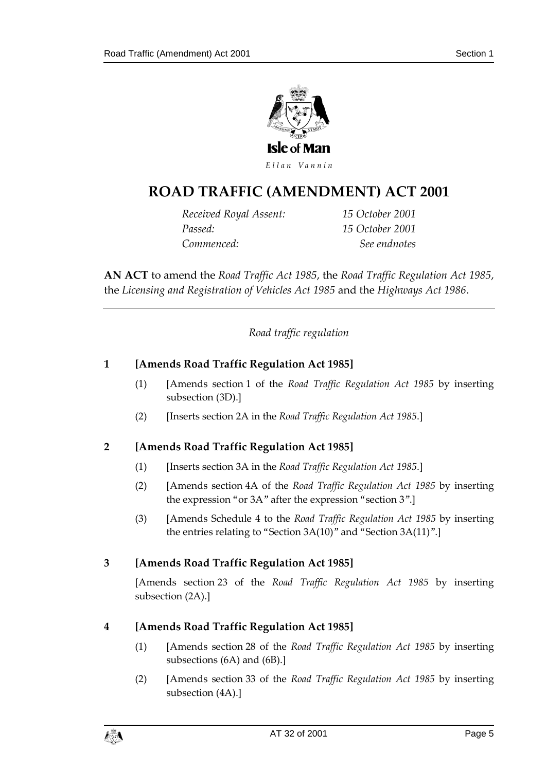

## **ROAD TRAFFIC (AMENDM ENT) ACT 2001**

*Received Royal Assent: 15 October 2001 Passed: 15 October 2001 Commenced: See endnotes*

**AN ACT** to amend the *Road Traffic Act 1985*, the *Road Traffic Regulation Act 1985*, the *Licensing and Registration of Vehicles Act 1985* and the *Highways Act 1986*.

*Road traffic regulation*

## <span id="page-4-1"></span><span id="page-4-0"></span>**1 [Amends Road Traffic Regulation Act 1985]**

- (1) [Amends section 1 of the *Road Traffic Regulation Act 1985* by inserting subsection (3D).]
- (2) [Inserts section 2A in the *Road Traffic Regulation Act 1985*.]

## <span id="page-4-2"></span>**2 [Amends Road Traffic Regulation Act 1985]**

- (1) [Inserts section 3A in the *Road Traffic Regulation Act 1985*.]
- (2) [Amends section 4A of the *Road Traffic Regulation Act 1985* by inserting the expression "or 3A" after the expression "section 3".]
- (3) [Amends Schedule 4 to the *Road Traffic Regulation Act 1985* by inserting the entries relating to "Section 3A(10)" and "Section 3A(11)".]

## <span id="page-4-3"></span>**3 [Amends Road Traffic Regulation Act 1985]**

[Amends section 23 of the *Road Traffic Regulation Act 1985* by inserting subsection (2A).]

## <span id="page-4-4"></span>**4 [Amends Road Traffic Regulation Act 1985]**

- (1) [Amends section 28 of the *Road Traffic Regulation Act 1985* by inserting subsections (6A) and (6B).]
- (2) [Amends section 33 of the *Road Traffic Regulation Act 1985* by inserting subsection (4A).]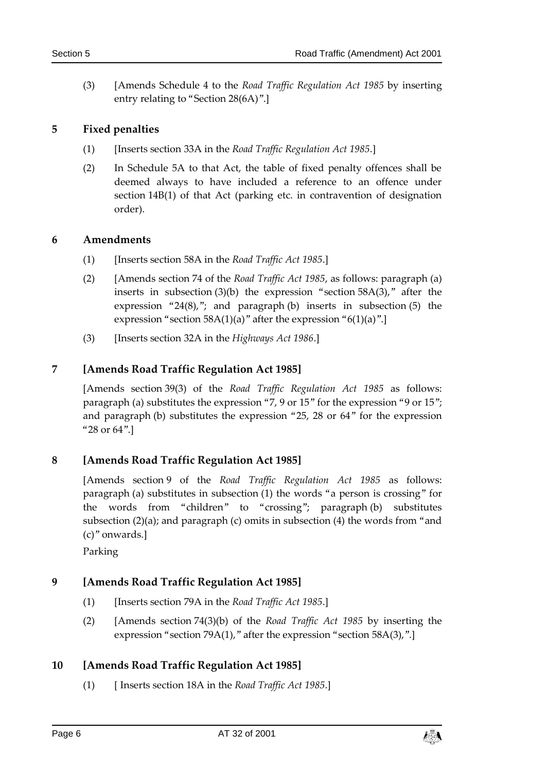(3) [Amends Schedule 4 to the *Road Traffic Regulation Act 1985* by inserting entry relating to "Section 28(6A)".]

## <span id="page-5-0"></span>**5 Fixed penalties**

- (1) [Inserts section 33A in the *Road Traffic Regulation Act 1985*.]
- (2) In Schedule 5A to that Act, the table of fixed penalty offences shall be deemed always to have included a reference to an offence under section 14B(1) of that Act (parking etc. in contravention of designation order).

## <span id="page-5-1"></span>**6 Amendments**

- (1) [Inserts section 58A in the *Road Traffic Act 1985*.]
- (2) [Amends section 74 of the *Road Traffic Act 1985*, as follows: paragraph (a) inserts in subsection  $(3)(b)$  the expression "section  $58A(3)$ ," after the expression "24 $(8)$ ,"; and paragraph  $(b)$  inserts in subsection  $(5)$  the expression "section 58A(1)(a)" after the expression " $6(1)(a)$ ".]
- (3) [Inserts section 32A in the *Highways Act 1986*.]

## <span id="page-5-2"></span>**7 [Amends Road Traffic Regulation Act 1985]**

[Amends section 39(3) of the *Road Traffic Regulation Act 1985* as follows: paragraph (a) substitutes the expression "7, 9 or 15" for the expression "9 or 15"; and paragraph (b) substitutes the expression "25, 28 or 64" for the expression "28 or 64".]

## <span id="page-5-3"></span>**8 [Amends Road Traffic Regulation Act 1985]**

[Amends section 9 of the *Road Traffic Regulation Act 1985* as follows: paragraph (a) substitutes in subsection (1) the words "a person is crossing" for the words from "children" to "crossing"; paragraph (b) substitutes subsection (2)(a); and paragraph (c) omits in subsection (4) the words from "and (c)" onwards.]

Parking

## <span id="page-5-4"></span>**9 [Amends Road Traffic Regulation Act 1985]**

- (1) [Inserts section 79A in the *Road Traffic Act 1985*.]
- (2) [Amends section 74(3)(b) of the *Road Traffic Act 1985* by inserting the expression "section 79A(1)," after the expression "section 58A(3),".]

## <span id="page-5-5"></span>**10 [Amends Road Traffic Regulation Act 1985]**

(1) [ Inserts section 18A in the *Road Traffic Act 1985*.]

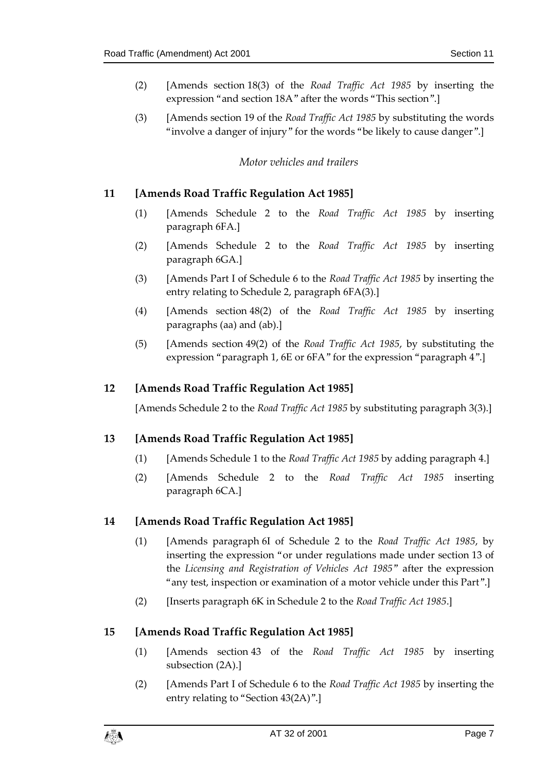- (2) [Amends section 18(3) of the *Road Traffic Act 1985* by inserting the expression "and section 18A" after the words "This section".]
- <span id="page-6-0"></span>(3) [Amends section 19 of the *Road Traffic Act 1985* by substituting the words "involve a danger of injury" for the words "be likely to cause danger".]

#### *Motor vehicles and trailers*

## <span id="page-6-1"></span>**11 [Amends Road Traffic Regulation Act 1985]**

- (1) [Amends Schedule 2 to the *Road Traffic Act 1985* by inserting paragraph 6FA.]
- (2) [Amends Schedule 2 to the *Road Traffic Act 1985* by inserting paragraph 6GA.]
- (3) [Amends Part I of Schedule 6 to the *Road Traffic Act 1985* by inserting the entry relating to Schedule 2, paragraph 6FA(3).]
- (4) [Amends section 48(2) of the *Road Traffic Act 1985* by inserting paragraphs (aa) and (ab).]
- (5) [Amends section 49(2) of the *Road Traffic Act 1985*, by substituting the expression "paragraph 1, 6E or 6FA" for the expression "paragraph 4".]

## <span id="page-6-2"></span>**12 [Amends Road Traffic Regulation Act 1985]**

[Amends Schedule 2 to the *Road Traffic Act 1985* by substituting paragraph 3(3).]

## <span id="page-6-3"></span>**13 [Amends Road Traffic Regulation Act 1985]**

- (1) [Amends Schedule 1 to the *Road Traffic Act 1985* by adding paragraph 4.]
- (2) [Amends Schedule 2 to the *Road Traffic Act 1985* inserting paragraph 6CA.]

#### <span id="page-6-4"></span>**14 [Amends Road Traffic Regulation Act 1985]**

- (1) [Amends paragraph 6I of Schedule 2 to the *Road Traffic Act 1985*, by inserting the expression "or under regulations made under section 13 of the *Licensing and Registration of Vehicles Act 1985*" after the expression "any test, inspection or examination of a motor vehicle under this Part".]
- (2) [Inserts paragraph 6K in Schedule 2 to the *Road Traffic Act 1985*.]

## <span id="page-6-5"></span>**15 [Amends Road Traffic Regulation Act 1985]**

- (1) [Amends section 43 of the *Road Traffic Act 1985* by inserting subsection (2A).]
- (2) [Amends Part I of Schedule 6 to the *Road Traffic Act 1985* by inserting the entry relating to "Section 43(2A)".]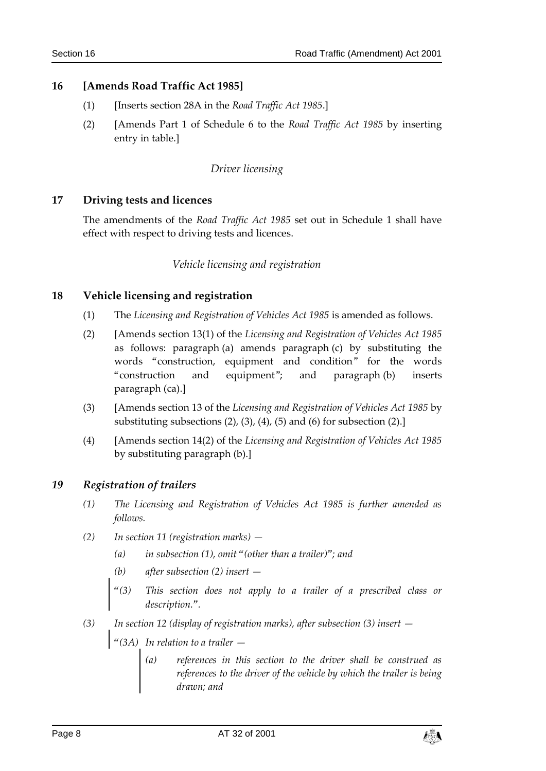### <span id="page-7-0"></span>**16 [Amends Road Traffic Act 1985]**

- (1) [Inserts section 28A in the *Road Traffic Act 1985*.]
- <span id="page-7-1"></span>(2) [Amends Part 1 of Schedule 6 to the *Road Traffic Act 1985* by inserting entry in table.]

#### *Driver licensing*

#### <span id="page-7-2"></span>**17 Driving tests and licences**

<span id="page-7-3"></span>The amendments of the *Road Traffic Act 1985* set out in Schedule 1 shall have effect with respect to driving tests and licences.

#### *Vehicle licensing and registration*

#### <span id="page-7-4"></span>**18 Vehicle licensing and registration**

- (1) The *Licensing and Registration of Vehicles Act 1985* is amended as follows.
- (2) [Amends section 13(1) of the *Licensing and Registration of Vehicles Act 1985* as follows: paragraph (a) amends paragraph (c) by substituting the words "construction, equipment and condition" for the words "construction and equipment"; and paragraph (b) inserts paragraph (ca).]
- (3) [Amends section 13 of the *Licensing and Registration of Vehicles Act 1985* by substituting subsections (2), (3), (4), (5) and (6) for subsection (2).]
- (4) [Amends section 14(2) of the *Licensing and Registration of Vehicles Act 1985* by substituting paragraph (b).]

#### <span id="page-7-5"></span>*19 Registration of trailers*

- *(1) The Licensing and Registration of Vehicles Act 1985 is further amended as follows.*
- *(2) In section 11 (registration marks) —*
	- *(a) in subsection (1), omit "(other than a trailer)"; and*
	- *(b) after subsection (2) insert —*
	- *"(3) This section does not apply to a trailer of a prescribed class or description.".*
- *(3) In section 12 (display of registration marks), after subsection (3) insert —*
	- *"(3A) In relation to a trailer —*
		- *(a) references in this section to the driver shall be construed as references to the driver of the vehicle by which the trailer is being drawn; and*

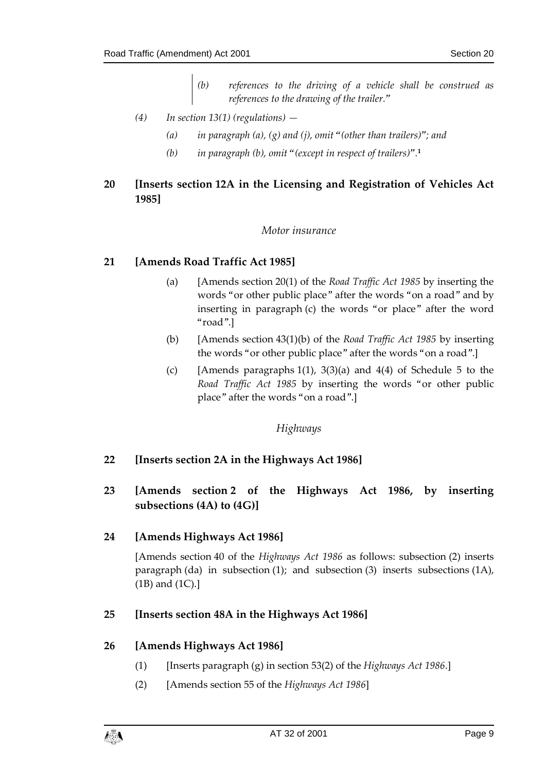- *(b) references to the driving of a vehicle shall be construed as references to the drawing of the trailer."*
- *(4) In section 13(1) (regulations) —*
	- *(a) in paragraph (a), (g) and (j), omit "(other than trailers)"; and*
	- *(b) in paragraph (b), omit "(except in respect of trailers)".* **1**

## <span id="page-8-1"></span><span id="page-8-0"></span>**20 [Inserts section 12A in the Licensing and Registration of Vehicles Act 1985]**

#### *Motor insurance*

## <span id="page-8-2"></span>**21 [Amends Road Traffic Act 1985]**

- (a) [Amends section 20(1) of the *Road Traffic Act 1985* by inserting the words "or other public place" after the words "on a road" and by inserting in paragraph (c) the words "or place" after the word "road".]
- (b) [Amends section 43(1)(b) of the *Road Traffic Act 1985* by inserting the words "or other public place" after the words "on a road".]
- (c) [Amends paragraphs  $1(1)$ ,  $3(3)(a)$  and  $4(4)$  of Schedule 5 to the *Road Traffic Act 1985* by inserting the words "or other public place" after the words "on a road".]

## *Highways*

## <span id="page-8-4"></span><span id="page-8-3"></span>**22 [Inserts section 2A in the Highways Act 1986]**

## <span id="page-8-5"></span>**23 [Amends section 2 of the Highways Act 1986, by inserting subsections (4A) to (4G)]**

## <span id="page-8-6"></span>**24 [Amends Highways Act 1986]**

[Amends section 40 of the *Highways Act 1986* as follows: subsection (2) inserts paragraph (da) in subsection (1); and subsection (3) inserts subsections  $(1A)$ , (1B) and (1C).]

## <span id="page-8-7"></span>**25 [Inserts section 48A in the Highways Act 1986]**

## <span id="page-8-8"></span>**26 [Amends Highways Act 1986]**

- (1) [Inserts paragraph (g) in section 53(2) of the *Highways Act 1986*.]
- (2) [Amends section 55 of the *Highways Act 1986*]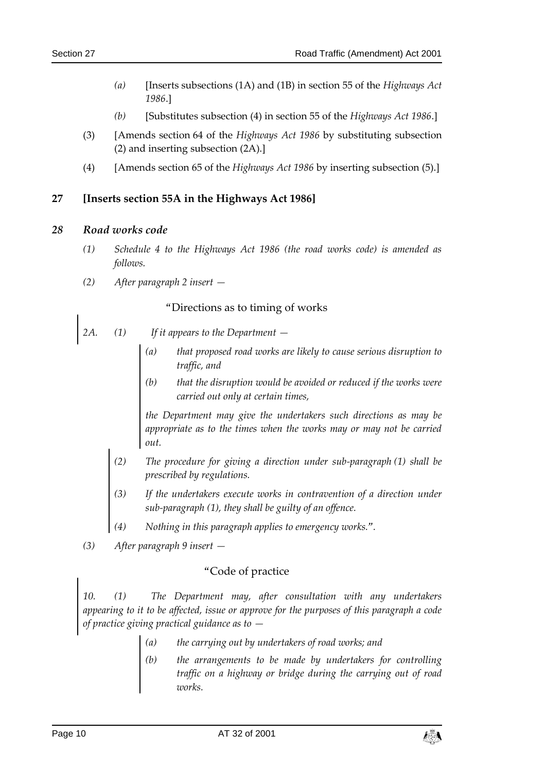- *(a)* [Inserts subsections (1A) and (1B) in section 55 of the *Highways Act 1986*.]
- *(b)* [Substitutes subsection (4) in section 55 of the *Highways Act 1986*.]
- (3) [Amends section 64 of the *Highways Act 1986* by substituting subsection (2) and inserting subsection (2A).]
- (4) [Amends section 65 of the *Highways Act 1986* by inserting subsection (5).]

## <span id="page-9-0"></span>**27 [Inserts section 55A in the Highways Act 1986]**

#### <span id="page-9-1"></span>*28 Road works code*

- *(1) Schedule 4 to the Highways Act 1986 (the road works code) is amended as follows.*
- *(2) After paragraph 2 insert —*

## "Directions as to timing of works

- *2A. (1) If it appears to the Department —*
	- *(a) that proposed road works are likely to cause serious disruption to traffic, and*
	- *(b) that the disruption would be avoided or reduced if the works were carried out only at certain times,*

*the Department may give the undertakers such directions as may be appropriate as to the times when the works may or may not be carried out.*

- *(2) The procedure for giving a direction under sub-paragraph (1) shall be prescribed by regulations.*
- *(3) If the undertakers execute works in contravention of a direction under sub-paragraph (1), they shall be guilty of an offence.*
- *(4) Nothing in this paragraph applies to emergency works.".*
- *(3) After paragraph 9 insert —*

## "Code of practice

*10. (1) The Department may, after consultation with any undertakers appearing to it to be affected, issue or approve for the purposes of this paragraph a code of practice giving practical guidance as to —*

- *(a) the carrying out by undertakers of road works; and*
- *(b) the arrangements to be made by undertakers for controlling traffic on a highway or bridge during the carrying out of road works.*

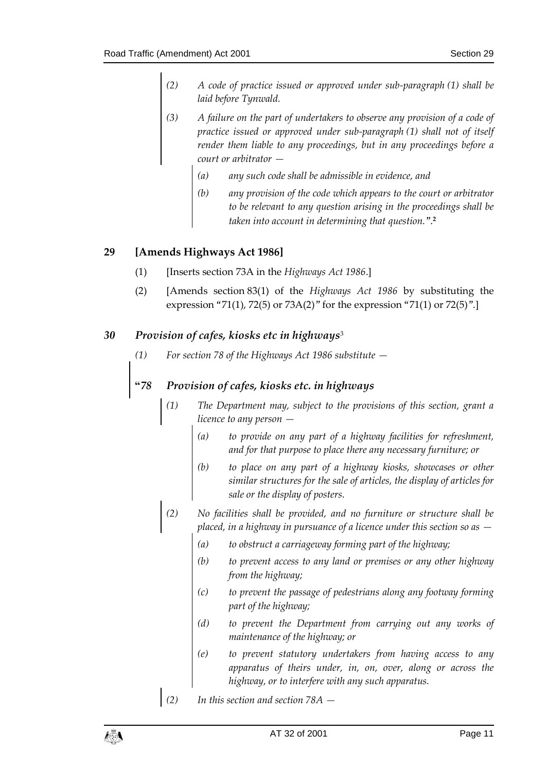- *(2) A code of practice issued or approved under sub-paragraph (1) shall be laid before Tynwald.*
- *(3) A failure on the part of undertakers to observe any provision of a code of practice issued or approved under sub-paragraph (1) shall not of itself render them liable to any proceedings, but in any proceedings before a court or arbitrator —*
	- *(a) any such code shall be admissible in evidence, and*
	- *(b) any provision of the code which appears to the court or arbitrator to be relevant to any question arising in the proceedings shall be taken into account in determining that question.*". **2**

## <span id="page-10-0"></span>**29 [Amends Highways Act 1986]**

- (1) [Inserts section 73A in the *Highways Act 1986*.]
- (2) [Amends section 83(1) of the *Highways Act 1986* by substituting the expression "71(1), 72(5) or 73A(2)" for the expression "71(1) or 72(5)".]

## <span id="page-10-1"></span>*30 Provision of cafes, kiosks etc in highways*<sup>3</sup>

*(1) For section 78 of the Highways Act 1986 substitute —*

## *"78 Provision of cafes, kiosks etc. in highways*

- *(1) The Department may, subject to the provisions of this section, grant a licence to any person —*
	- *(a) to provide on any part of a highway facilities for refreshment, and for that purpose to place there any necessary furniture; or*
	- *(b) to place on any part of a highway kiosks, showcases or other similar structures for the sale of articles, the display of articles for sale or the display of posters.*
- *(2) No facilities shall be provided, and no furniture or structure shall be placed, in a highway in pursuance of a licence under this section so as —*
	- *(a) to obstruct a carriageway forming part of the highway;*
	- *(b) to prevent access to any land or premises or any other highway from the highway;*
	- *(c) to prevent the passage of pedestrians along any footway forming part of the highway;*
	- *(d) to prevent the Department from carrying out any works of maintenance of the highway; or*
	- *(e) to prevent statutory undertakers from having access to any apparatus of theirs under, in, on, over, along or across the highway, or to interfere with any such apparatus.*
- *(2) In this section and section 78A —*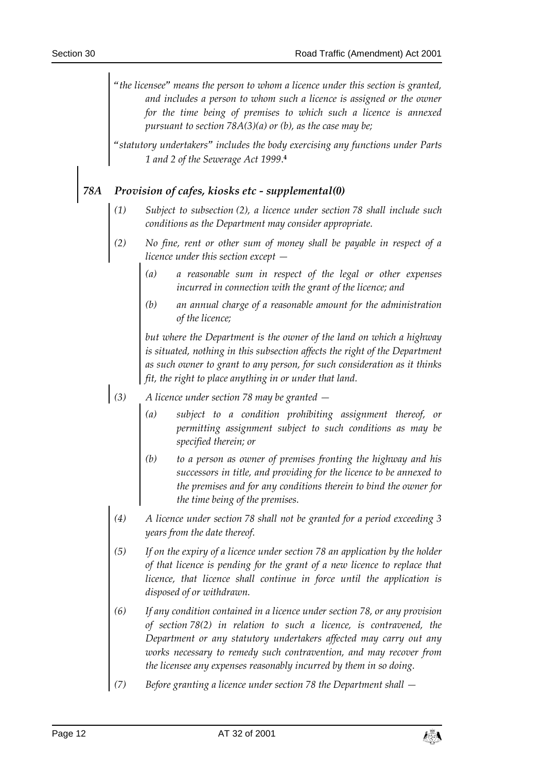*"the licensee" means the person to whom a licence under this section is granted, and includes a person to whom such a licence is assigned or the owner*  for the time being of premises to which such a licence is annexed *pursuant to section 78A(3)(a) or (b), as the case may be;*

*"statutory undertakers" includes the body exercising any functions under Parts 1 and 2 of the Sewerage Act 1999*. **4**

## *78A Provision of cafes, kiosks etc - supplemental(0)*

- *(1) Subject to subsection (2), a licence under section 78 shall include such conditions as the Department may consider appropriate.*
- *(2) No fine, rent or other sum of money shall be payable in respect of a licence under this section except —*
	- *(a) a reasonable sum in respect of the legal or other expenses incurred in connection with the grant of the licence; and*
	- *(b) an annual charge of a reasonable amount for the administration of the licence;*

*but where the Department is the owner of the land on which a highway*  is situated, nothing in this subsection affects the right of the Department *as such owner to grant to any person, for such consideration as it thinks fit, the right to place anything in or under that land.*

- *(3) A licence under section 78 may be granted —*
	- *(a) subject to a condition prohibiting assignment thereof, or permitting assignment subject to such conditions as may be specified therein; or*
	- *(b) to a person as owner of premises fronting the highway and his successors in title, and providing for the licence to be annexed to the premises and for any conditions therein to bind the owner for the time being of the premises.*
	- *(4) A licence under section 78 shall not be granted for a period exceeding 3 years from the date thereof.*
	- *(5) If on the expiry of a licence under section 78 an application by the holder of that licence is pending for the grant of a new licence to replace that licence, that licence shall continue in force until the application is disposed of or withdrawn.*
	- *(6) If any condition contained in a licence under section 78, or any provision of section 78(2) in relation to such a licence, is contravened, the Department or any statutory undertakers affected may carry out any works necessary to remedy such contravention, and may recover from the licensee any expenses reasonably incurred by them in so doing.*
	- *(7) Before granting a licence under section 78 the Department shall —*

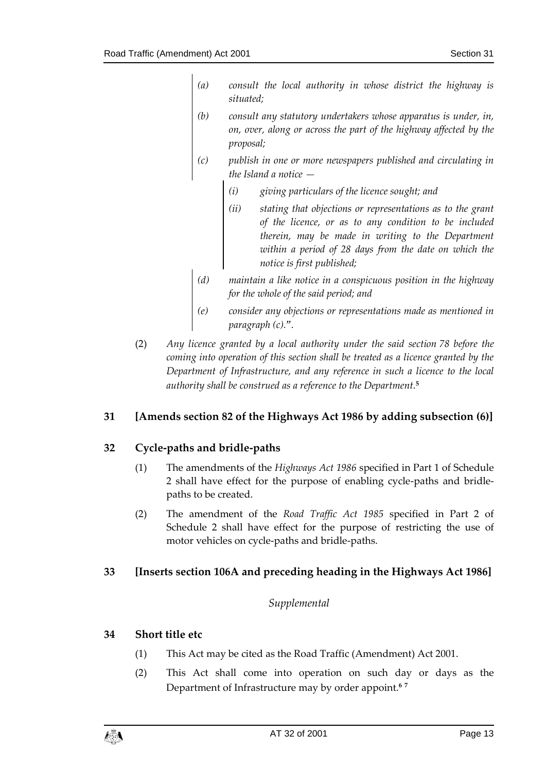- *(a) consult the local authority in whose district the highway is situated;*
- *(b) consult any statutory undertakers whose apparatus is under, in, on, over, along or across the part of the highway affected by the proposal;*
- *(c) publish in one or more newspapers published and circulating in the Island a notice —*
	- *(i) giving particulars of the licence sought; and*
	- *(ii) stating that objections or representations as to the grant of the licence, or as to any condition to be included therein, may be made in writing to the Department within a period of 28 days from the date on which the notice is first published;*
- *(d) maintain a like notice in a conspicuous position in the highway for the whole of the said period; and*
- *(e) consider any objections or representations made as mentioned in paragraph (c).".*
- (2) *Any licence granted by a local authority under the said section 78 before the coming into operation of this section shall be treated as a licence granted by the Department of Infrastructure, and any reference in such a licence to the local authority shall be construed as a reference to the Department.***<sup>5</sup>**

## <span id="page-12-0"></span>**31 [Amends section 82 of the Highways Act 1986 by adding subsection (6)]**

## <span id="page-12-1"></span>**32 Cycle-paths and bridle-paths**

- (1) The amendments of the *Highways Act 1986* specified in Part 1 of Schedule 2 shall have effect for the purpose of enabling cycle-paths and bridlepaths to be created.
- (2) The amendment of the *Road Traffic Act 1985* specified in Part 2 of Schedule 2 shall have effect for the purpose of restricting the use of motor vehicles on cycle-paths and bridle-paths.

## <span id="page-12-3"></span><span id="page-12-2"></span>**33 [Inserts section 106A and preceding heading in the Highways Act 1986]**

## *Supplemental*

## <span id="page-12-4"></span>**34 Short title etc**

- (1) This Act may be cited as the Road Traffic (Amendment) Act 2001.
- (2) This Act shall come into operation on such day or days as the Department of Infrastructure may by order appoint.**<sup>6</sup> <sup>7</sup>**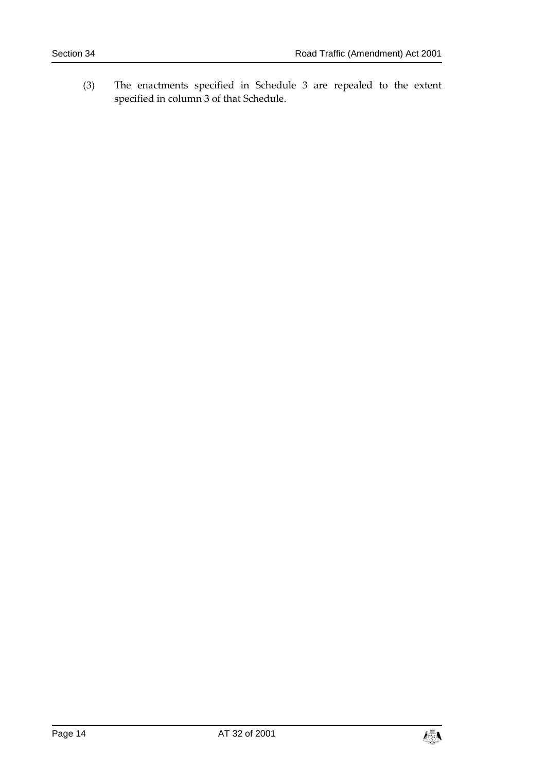(3) The enactments specified in Schedule 3 are repealed to the extent specified in column 3 of that Schedule.

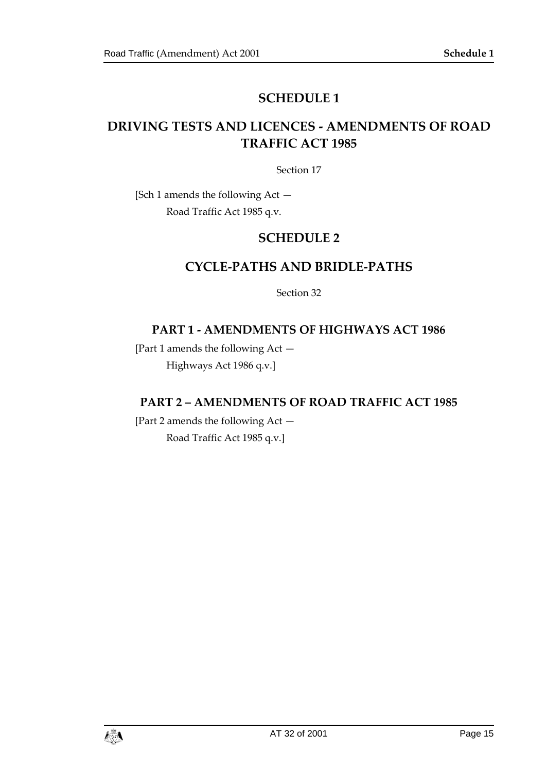## **SCHEDULE 1**

## <span id="page-14-1"></span><span id="page-14-0"></span>**DRIVING TESTS AND LICENCES - AMENDMENTS OF ROAD TRAFFIC ACT 1985**

Section 17

<span id="page-14-3"></span><span id="page-14-2"></span>[Sch 1 amends the following Act — Road Traffic Act 1985 q.v.

## **SCHEDULE 2**

## **CYCLE-PATHS AND BRIDLE-PATHS**

Section 32

## **PART 1 - AMENDMENTS OF HIGHWAYS ACT 1986**

[Part 1 amends the following Act — Highways Act 1986 q.v.]

## **PART 2 – AMENDMENTS OF ROAD TRAFFIC ACT 1985**

[Part 2 amends the following Act — Road Traffic Act 1985 q.v.]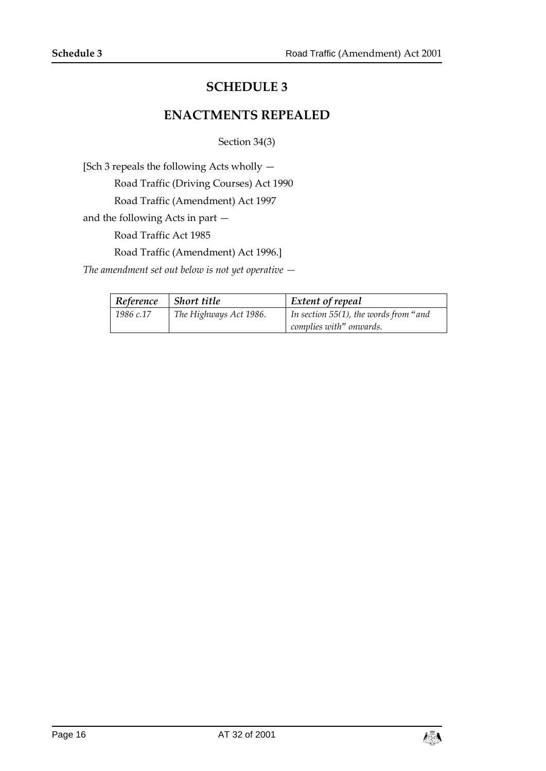## **SCHEDULE 3**

## **ENACTMENTS REPEALED**

Section 34(3)

<span id="page-15-1"></span><span id="page-15-0"></span>[Sch 3 repeals the following Acts wholly —

Road Traffic (Driving Courses) Act 1990

Road Traffic (Amendment) Act 1997

and the following Acts in part —

Road Traffic Act 1985

Road Traffic (Amendment) Act 1996.]

*The amendment set out below is not yet operative —*

| Reference | Short title            | <b>Extent of repeal</b>               |
|-----------|------------------------|---------------------------------------|
| 1986 c.17 | The Highways Act 1986. | In section 55(1), the words from "and |
|           |                        | complies with" onwards.               |

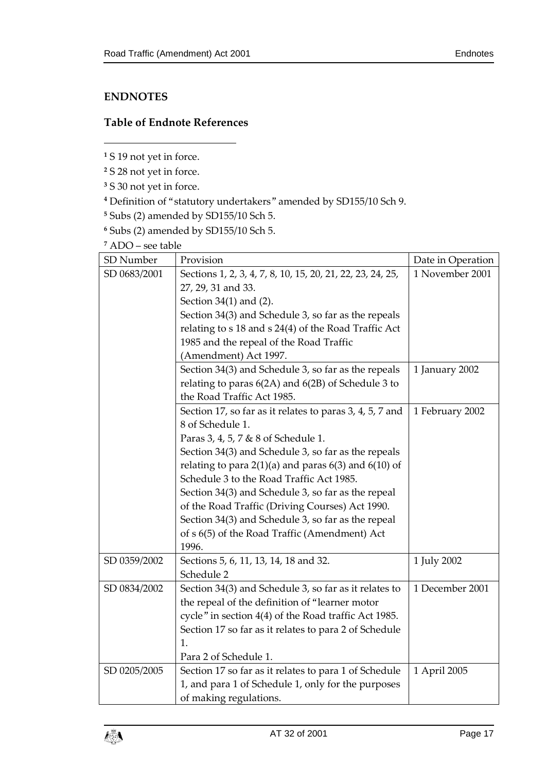## <span id="page-16-0"></span>**ENDNOTES**

1

## <span id="page-16-1"></span>**Table of Endnote References**

**<sup>1</sup>** S 19 not yet in force.

- **<sup>2</sup>** S 28 not yet in force.
- **<sup>3</sup>** S 30 not yet in force.
- **<sup>4</sup>** Definition of "statutory undertakers" amended by SD155/10 Sch 9.
- **<sup>5</sup>** Subs (2) amended by SD155/10 Sch 5.
- **<sup>6</sup>** Subs (2) amended by SD155/10 Sch 5.

**<sup>7</sup>** ADO – see table

| ADO – see table  |                                                            |                   |  |  |  |  |
|------------------|------------------------------------------------------------|-------------------|--|--|--|--|
| <b>SD</b> Number | Provision                                                  | Date in Operation |  |  |  |  |
| SD 0683/2001     | Sections 1, 2, 3, 4, 7, 8, 10, 15, 20, 21, 22, 23, 24, 25, | 1 November 2001   |  |  |  |  |
|                  | 27, 29, 31 and 33.                                         |                   |  |  |  |  |
|                  | Section 34(1) and (2).                                     |                   |  |  |  |  |
|                  | Section 34(3) and Schedule 3, so far as the repeals        |                   |  |  |  |  |
|                  | relating to s 18 and s 24(4) of the Road Traffic Act       |                   |  |  |  |  |
|                  | 1985 and the repeal of the Road Traffic                    |                   |  |  |  |  |
|                  | (Amendment) Act 1997.                                      |                   |  |  |  |  |
|                  | Section 34(3) and Schedule 3, so far as the repeals        | 1 January 2002    |  |  |  |  |
|                  | relating to paras 6(2A) and 6(2B) of Schedule 3 to         |                   |  |  |  |  |
|                  | the Road Traffic Act 1985.                                 |                   |  |  |  |  |
|                  | Section 17, so far as it relates to paras 3, 4, 5, 7 and   | 1 February 2002   |  |  |  |  |
|                  | 8 of Schedule 1.                                           |                   |  |  |  |  |
|                  | Paras 3, 4, 5, 7 & 8 of Schedule 1.                        |                   |  |  |  |  |
|                  | Section 34(3) and Schedule 3, so far as the repeals        |                   |  |  |  |  |
|                  | relating to para $2(1)(a)$ and paras $6(3)$ and $6(10)$ of |                   |  |  |  |  |
|                  | Schedule 3 to the Road Traffic Act 1985.                   |                   |  |  |  |  |
|                  | Section 34(3) and Schedule 3, so far as the repeal         |                   |  |  |  |  |
|                  | of the Road Traffic (Driving Courses) Act 1990.            |                   |  |  |  |  |
|                  | Section 34(3) and Schedule 3, so far as the repeal         |                   |  |  |  |  |
|                  | of s 6(5) of the Road Traffic (Amendment) Act              |                   |  |  |  |  |
|                  | 1996.                                                      |                   |  |  |  |  |
| SD 0359/2002     | Sections 5, 6, 11, 13, 14, 18 and 32.                      | 1 July 2002       |  |  |  |  |
|                  | Schedule 2                                                 |                   |  |  |  |  |
| SD 0834/2002     | Section 34(3) and Schedule 3, so far as it relates to      | 1 December 2001   |  |  |  |  |
|                  | the repeal of the definition of "learner motor             |                   |  |  |  |  |
|                  | cycle" in section 4(4) of the Road traffic Act 1985.       |                   |  |  |  |  |
|                  | Section 17 so far as it relates to para 2 of Schedule      |                   |  |  |  |  |
|                  | 1.                                                         |                   |  |  |  |  |
|                  | Para 2 of Schedule 1.                                      |                   |  |  |  |  |
| SD 0205/2005     | Section 17 so far as it relates to para 1 of Schedule      | 1 April 2005      |  |  |  |  |
|                  | 1, and para 1 of Schedule 1, only for the purposes         |                   |  |  |  |  |
|                  | of making regulations.                                     |                   |  |  |  |  |